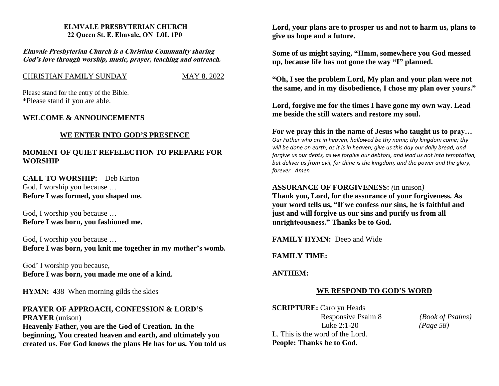#### **ELMVALE PRESBYTERIAN CHURCH 22 Queen St. E. Elmvale, ON L0L 1P0**

**Elmvale Presbyterian Church is <sup>a</sup> Christian Community sharing God'<sup>s</sup> love through worship, music, prayer, teaching and outreach.**

#### CHRISTIAN FAMILY SUNDAYMAY 8, 2022

Please stand for the entry of the Bible. \*Please stand if you are able.

## **WELCOME & ANNOUNCEMENTS**

## **WE ENTER INTO GOD'S PRESENCE**

## **MOMENT OF QUIET REFELECTION TO PREPARE FOR WORSHIP**

**CALL TO WORSHIP:** Deb Kirton God, I worship you because … **Before I was formed, you shaped me.**

God, I worship you because … **Before I was born, you fashioned me.**

God, I worship you because … **Before I was born, you knit me together in my mother's womb.**

God' I worship you because, **Before I was born, you made me one of a kind.**

**HYMN:** 438 When morning gilds the skies

# **PRAYER OF APPROACH, CONFESSION & LORD'S PRAYER** (unison)

**Heavenly Father, you are the God of Creation. In the beginning, You created heaven and earth, and ultimately you created us. For God knows the plans He has for us. You told us** **Lord, your plans are to prosper us and not to harm us, plans to give us hope and a future.**

**Some of us might saying, "Hmm, somewhere you God messed up, because life has not gone the way "I" planned.**

**"Oh, I see the problem Lord, My plan and your plan were not the same, and in my disobedience, I chose my plan over yours."**

**Lord, forgive me for the times I have gone my own way. Lead me beside the still waters and restore my soul.**

**For we pray this in the name of Jesus who taught us to pray…** *Our Father who art in heaven, hallowed be thy name; thy kingdom come; thy will be done on earth, as it is in heaven; give us this day our daily bread, and forgive us our debts, as we forgive our debtors, and lead us not into temptation, but deliver us from evil, for thine is the kingdom, and the power and the glory,*

## **ASSURANCE OF FORGIVENESS:** *(*in unison*)*

**Thank you, Lord, for the assurance of your forgiveness. As your word tells us, "If we confess our sins, he is faithful and just and will forgive us our sins and purify us from all unrighteousness." Thanks be to God.**

**FAMILY HYMN:** Deep and Wide

## **FAMILY TIME:**

## **ANTHEM:**

*forever. Amen*

## **WE RESPOND TO GOD'S WORD**

**SCRIPTURE:** Carolyn Heads Responsive Psalm 8 *(Book of Psalms)* Luke 2:1-20 *(Page 58)* L. This is the word of the Lord. **People: Thanks be to God***.*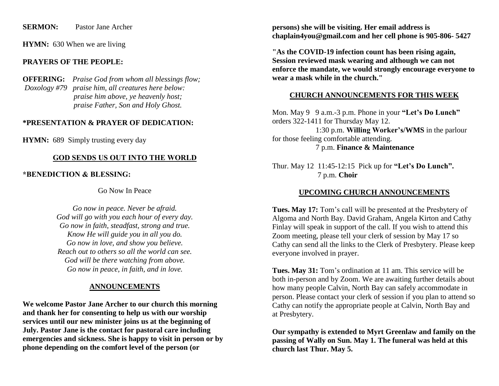#### **SERMON:** Pastor Jane Archer

**HYMN:** 630 When we are living

## **PRAYERS OF THE PEOPLE:**

**OFFERING:** *Praise God from whom all blessings flow; Doxology #79 praise him, all creatures here below: praise him above, ye heavenly host; praise Father, Son and Holy Ghost.* 

## **\*PRESENTATION & PRAYER OF DEDICATION:**

**HYMN:** 689 Simply trusting every day

#### **GOD SENDS US OUT INTO THE WORLD**

**\*BENEDICTION & BLESSING:** 

Go Now In Peace

*Go now in peace. Never be afraid. God will go with you each hour of every day. Go now in faith, steadfast, strong and true. Know He will guide you in all you do. Go now in love, and show you believe. Reach out to others so all the world can see. God will be there watching from above. Go now in peace, in faith, and in love.*

## **ANNOUNCEMENTS**

**We welcome Pastor Jane Archer to our church this morning and thank her for consenting to help us with our worship services until our new minister joins us at the beginning of July. Pastor Jane is the contact for pastoral care including emergencies and sickness. She is happy to visit in person or by phone depending on the comfort level of the person (or**

**persons) she will be visiting. Her email address is chaplain4you@gmail.com and her cell phone is 905-806- 5427**

**"As the COVID-19 infection count has been rising again, Session reviewed mask wearing and although we can not enforce the mandate, we would strongly encourage everyone to wear a mask while in the church."**

#### **CHURCH ANNOUNCEMENTS FOR THIS WEEK**

Mon. May 9 9 a.m.-3 p.m. Phone in your **"Let's Do Lunch"** orders 322-1411 for Thursday May 12. 1:30 p.m. **Willing Worker's/WMS** in the parlour for those feeling comfortable attending. 7 p.m. **Finance & Maintenance**

Thur. May 12 11:45-12:15 Pick up for **"Let's Do Lunch".** 7 p.m. **Choir** 

## **UPCOMING CHURCH ANNOUNCEMENTS**

**Tues. May 17:** Tom's call will be presented at the Presbytery of Algoma and North Bay. David Graham, Angela Kirton and Cathy Finlay will speak in support of the call. If you wish to attend this Zoom meeting, please tell your clerk of session by May 17 so Cathy can send all the links to the Clerk of Presbytery. Please keep everyone involved in prayer.

**Tues. May 31:** Tom's ordination at 11 am. This service will be both in-person and by Zoom. We are awaiting further details about how many people Calvin, North Bay can safely accommodate in person. Please contact your clerk of session if you plan to attend so Cathy can notify the appropriate people at Calvin, North Bay and at Presbytery.

**Our sympathy is extended to Myrt Greenlaw and family on the passing of Wally on Sun. May 1. The funeral was held at this church last Thur. May 5.**